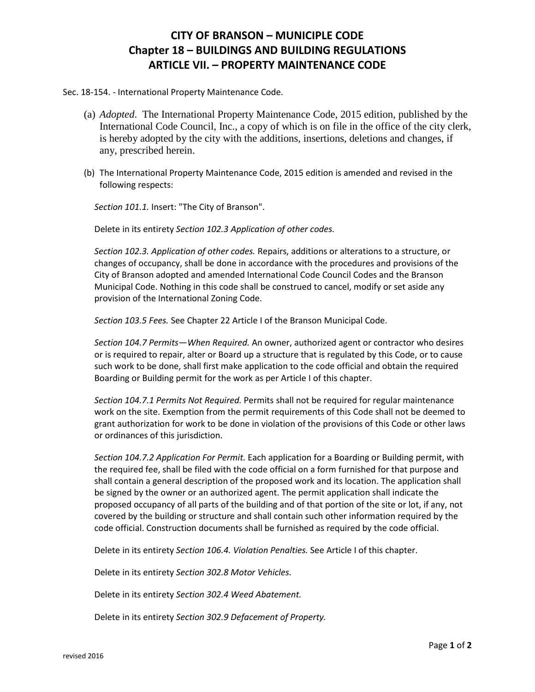## **CITY OF BRANSON – MUNICIPLE CODE Chapter 18 – BUILDINGS AND BUILDING REGULATIONS ARTICLE VII. – PROPERTY MAINTENANCE CODE**

Sec. 18-154. - International Property Maintenance Code.

- (a) *Adopted*. The International Property Maintenance Code, 2015 edition, published by the International Code Council, Inc., a copy of which is on file in the office of the city clerk, is hereby adopted by the city with the additions, insertions, deletions and changes, if any, prescribed herein.
- (b) The International Property Maintenance Code, 2015 edition is amended and revised in the following respects:

*Section 101.1.* Insert: "The City of Branson".

Delete in its entirety *Section 102.3 Application of other codes.*

*Section 102.3. Application of other codes.* Repairs, additions or alterations to a structure, or changes of occupancy, shall be done in accordance with the procedures and provisions of the City of Branson adopted and amended International Code Council Codes and the Branson Municipal Code. Nothing in this code shall be construed to cancel, modify or set aside any provision of the International Zoning Code.

*Section 103.5 Fees.* See Chapter 22 Article I of the Branson Municipal Code.

*Section 104.7 Permits—When Required.* An owner, authorized agent or contractor who desires or is required to repair, alter or Board up a structure that is regulated by this Code, or to cause such work to be done, shall first make application to the code official and obtain the required Boarding or Building permit for the work as per Article I of this chapter.

*Section 104.7.1 Permits Not Required.* Permits shall not be required for regular maintenance work on the site. Exemption from the permit requirements of this Code shall not be deemed to grant authorization for work to be done in violation of the provisions of this Code or other laws or ordinances of this jurisdiction.

*Section 104.7.2 Application For Permit.* Each application for a Boarding or Building permit, with the required fee, shall be filed with the code official on a form furnished for that purpose and shall contain a general description of the proposed work and its location. The application shall be signed by the owner or an authorized agent. The permit application shall indicate the proposed occupancy of all parts of the building and of that portion of the site or lot, if any, not covered by the building or structure and shall contain such other information required by the code official. Construction documents shall be furnished as required by the code official.

Delete in its entirety *Section 106.4. Violation Penalties.* See Article I of this chapter.

Delete in its entirety *Section 302.8 Motor Vehicles.*

Delete in its entirety *Section 302.4 Weed Abatement.*

Delete in its entirety *Section 302.9 Defacement of Property.*